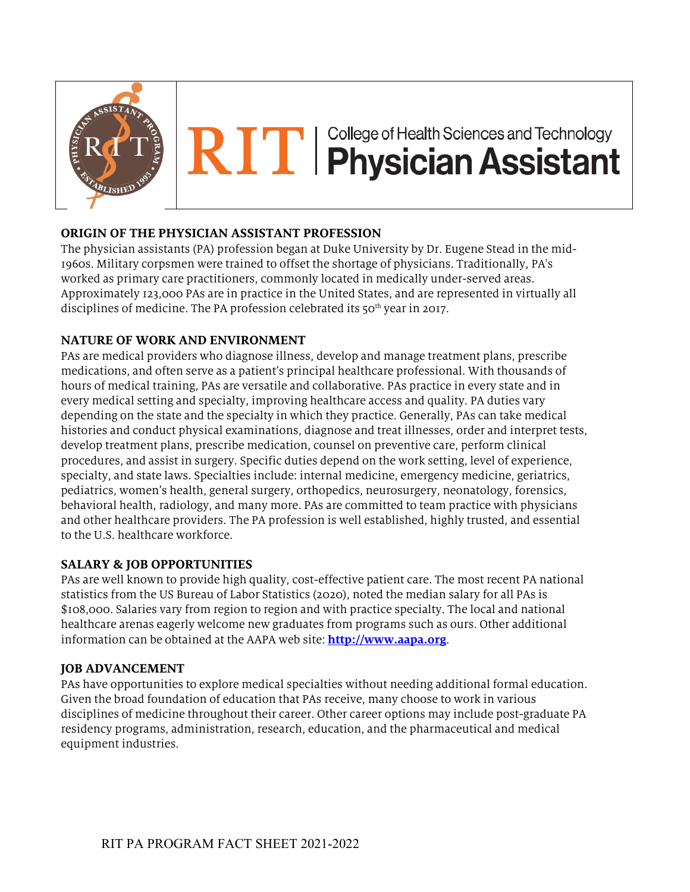

# RITI Physician Assistant

# **ORIGIN OF THE PHYSICIAN ASSISTANT PROFESSION**

The physician assistants (PA) profession began at Duke University by Dr. Eugene Stead in the mid-1960s. Military corpsmen were trained to offset the shortage of physicians. Traditionally, PA's worked as primary care practitioners, commonly located in medically under-served areas. Approximately 123,000 PAs are in practice in the United States, and are represented in virtually all disciplines of medicine. The PA profession celebrated its 50<sup>th</sup> year in 2017.

# **NATURE OF WORK AND ENVIRONMENT**

PAs are medical providers who diagnose illness, develop and manage treatment plans, prescribe medications, and often serve as a patient's principal healthcare professional. With thousands of hours of medical training, PAs are versatile and collaborative. PAs practice in every state and in every medical setting and specialty, improving healthcare access and quality. PA duties vary depending on the state and the specialty in which they practice. Generally, PAs can take medical histories and conduct physical examinations, diagnose and treat illnesses, order and interpret tests, develop treatment plans, prescribe medication, counsel on preventive care, perform clinical procedures, and assist in surgery. Specific duties depend on the work setting, level of experience, specialty, and state laws. Specialties include: internal medicine, emergency medicine, geriatrics, pediatrics, women's health, general surgery, orthopedics, neurosurgery, neonatology, forensics, behavioral health, radiology, and many more. PAs are committed to team practice with physicians and other healthcare providers. The PA profession is well established, highly trusted, and essential to the U.S. healthcare workforce.

# **SALARY & JOB OPPORTUNITIES**

PAs are well known to provide high quality, cost-effective patient care. The most recent PA national statistics from the US Bureau of Labor Statistics (2020), noted the median salary for all PAs is \$108,000. Salaries vary from region to region and with practice specialty. The local and national healthcare arenas eagerly welcome new graduates from programs such as ours. Other additional information can be obtained at the AAPA web site: **http://www.aapa.org**.

# **JOB ADVANCEMENT**

PAs have opportunities to explore medical specialties without needing additional formal education. Given the broad foundation of education that PAs receive, many choose to work in various disciplines of medicine throughout their career. Other career options may include post-graduate PA residency programs, administration, research, education, and the pharmaceutical and medical equipment industries.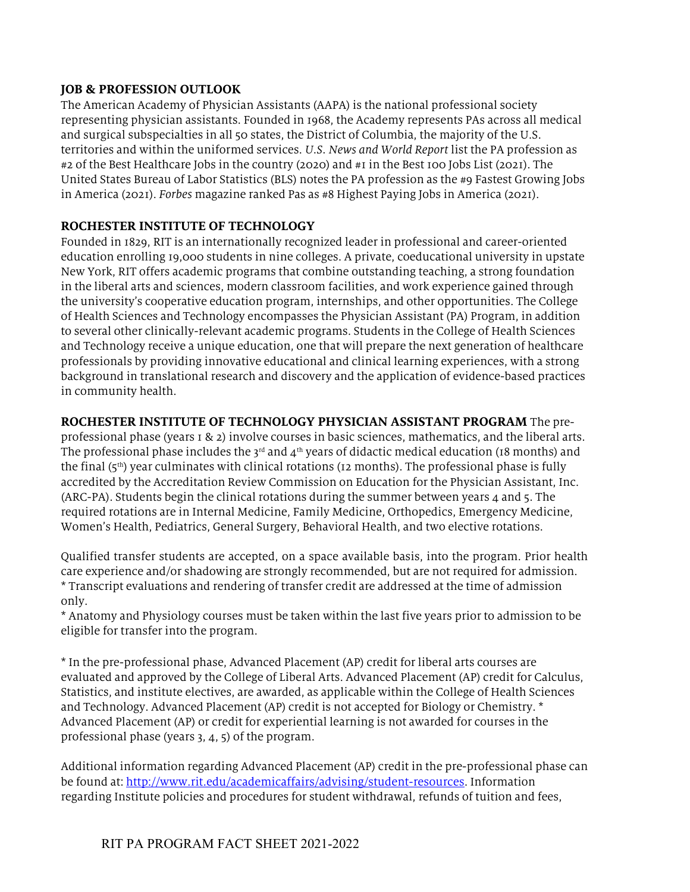#### **JOB & PROFESSION OUTLOOK**

The American Academy of Physician Assistants (AAPA) is the national professional society representing physician assistants. Founded in 1968, the Academy represents PAs across all medical and surgical subspecialties in all 50 states, the District of Columbia, the majority of the U.S. territories and within the uniformed services. *U.S. News and World Report* list the PA profession as #2 of the Best Healthcare Jobs in the country (2020) and #1 in the Best 100 Jobs List (2021). The United States Bureau of Labor Statistics (BLS) notes the PA profession as the #9 Fastest Growing Jobs in America (2021). *Forbes* magazine ranked Pas as #8 Highest Paying Jobs in America (2021).

#### **ROCHESTER INSTITUTE OF TECHNOLOGY**

Founded in 1829, RIT is an internationally recognized leader in professional and career-oriented education enrolling 19,000 students in nine colleges. A private, coeducational university in upstate New York, RIT offers academic programs that combine outstanding teaching, a strong foundation in the liberal arts and sciences, modern classroom facilities, and work experience gained through the university's cooperative education program, internships, and other opportunities. The College of Health Sciences and Technology encompasses the Physician Assistant (PA) Program, in addition to several other clinically-relevant academic programs. Students in the College of Health Sciences and Technology receive a unique education, one that will prepare the next generation of healthcare professionals by providing innovative educational and clinical learning experiences, with a strong background in translational research and discovery and the application of evidence-based practices in community health.

#### **ROCHESTER INSTITUTE OF TECHNOLOGY PHYSICIAN ASSISTANT PROGRAM** The pre-

professional phase (years 1 & 2) involve courses in basic sciences, mathematics, and the liberal arts. The professional phase includes the  $3<sup>rd</sup>$  and  $4<sup>th</sup>$  years of didactic medical education (18 months) and the final  $(5<sup>th</sup>)$  year culminates with clinical rotations (12 months). The professional phase is fully accredited by the Accreditation Review Commission on Education for the Physician Assistant, Inc. (ARC-PA). Students begin the clinical rotations during the summer between years 4 and 5. The required rotations are in Internal Medicine, Family Medicine, Orthopedics, Emergency Medicine, Women's Health, Pediatrics, General Surgery, Behavioral Health, and two elective rotations.

Qualified transfer students are accepted, on a space available basis, into the program. Prior health care experience and/or shadowing are strongly recommended, but are not required for admission. \* Transcript evaluations and rendering of transfer credit are addressed at the time of admission only.

\* Anatomy and Physiology courses must be taken within the last five years prior to admission to be eligible for transfer into the program.

\* In the pre-professional phase, Advanced Placement (AP) credit for liberal arts courses are evaluated and approved by the College of Liberal Arts. Advanced Placement (AP) credit for Calculus, Statistics, and institute electives, are awarded, as applicable within the College of Health Sciences and Technology. Advanced Placement (AP) credit is not accepted for Biology or Chemistry. \* Advanced Placement (AP) or credit for experiential learning is not awarded for courses in the professional phase (years 3, 4, 5) of the program.

Additional information regarding Advanced Placement (AP) credit in the pre-professional phase can be found at: http://www.rit.edu/academicaffairs/advising/student-resources. Information regarding Institute policies and procedures for student withdrawal, refunds of tuition and fees,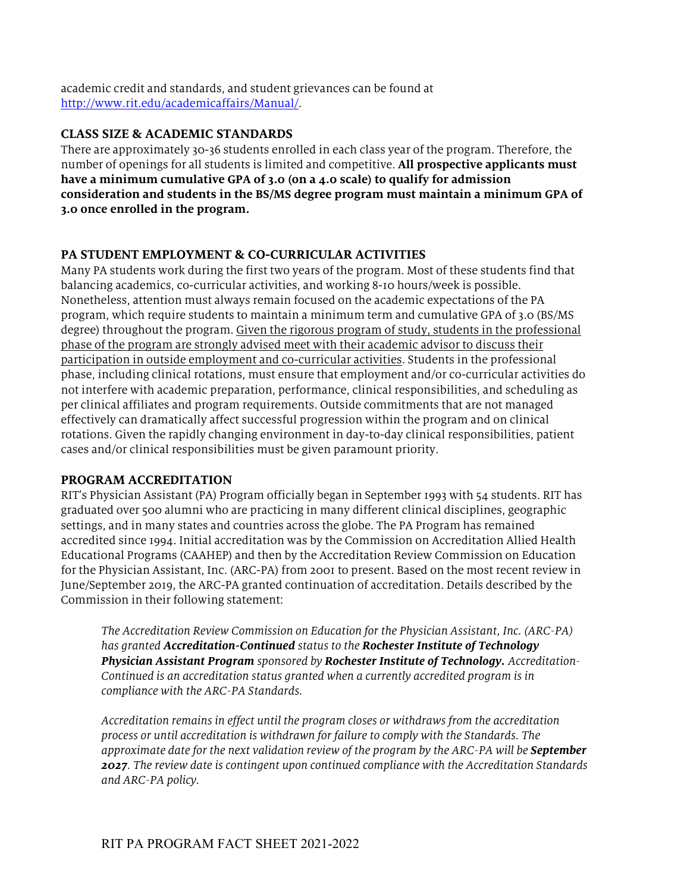academic credit and standards, and student grievances can be found at http://www.rit.edu/academicaffairs/Manual/.

#### **CLASS SIZE & ACADEMIC STANDARDS**

There are approximately 30-36 students enrolled in each class year of the program. Therefore, the number of openings for all students is limited and competitive. **All prospective applicants must have a minimum cumulative GPA of 3.0 (on a 4.0 scale) to qualify for admission consideration and students in the BS/MS degree program must maintain a minimum GPA of 3.0 once enrolled in the program.**

#### **PA STUDENT EMPLOYMENT & CO-CURRICULAR ACTIVITIES**

Many PA students work during the first two years of the program. Most of these students find that balancing academics, co-curricular activities, and working 8-10 hours/week is possible. Nonetheless, attention must always remain focused on the academic expectations of the PA program, which require students to maintain a minimum term and cumulative GPA of 3.0 (BS/MS degree) throughout the program. Given the rigorous program of study, students in the professional phase of the program are strongly advised meet with their academic advisor to discuss their participation in outside employment and co-curricular activities. Students in the professional phase, including clinical rotations, must ensure that employment and/or co-curricular activities do not interfere with academic preparation, performance, clinical responsibilities, and scheduling as per clinical affiliates and program requirements. Outside commitments that are not managed effectively can dramatically affect successful progression within the program and on clinical rotations. Given the rapidly changing environment in day-to-day clinical responsibilities, patient cases and/or clinical responsibilities must be given paramount priority.

#### **PROGRAM ACCREDITATION**

RIT's Physician Assistant (PA) Program officially began in September 1993 with 54 students. RIT has graduated over 500 alumni who are practicing in many different clinical disciplines, geographic settings, and in many states and countries across the globe. The PA Program has remained accredited since 1994. Initial accreditation was by the Commission on Accreditation Allied Health Educational Programs (CAAHEP) and then by the Accreditation Review Commission on Education for the Physician Assistant, Inc. (ARC-PA) from 2001 to present. Based on the most recent review in June/September 2019, the ARC-PA granted continuation of accreditation. Details described by the Commission in their following statement:

*The Accreditation Review Commission on Education for the Physician Assistant, Inc. (ARC-PA) has granted Accreditation-Continued status to the Rochester Institute of Technology Physician Assistant Program sponsored by Rochester Institute of Technology. Accreditation-Continued is an accreditation status granted when a currently accredited program is in compliance with the ARC-PA Standards.* 

*Accreditation remains in effect until the program closes or withdraws from the accreditation process or until accreditation is withdrawn for failure to comply with the Standards. The approximate date for the next validation review of the program by the ARC-PA will be September 2027. The review date is contingent upon continued compliance with the Accreditation Standards and ARC-PA policy.*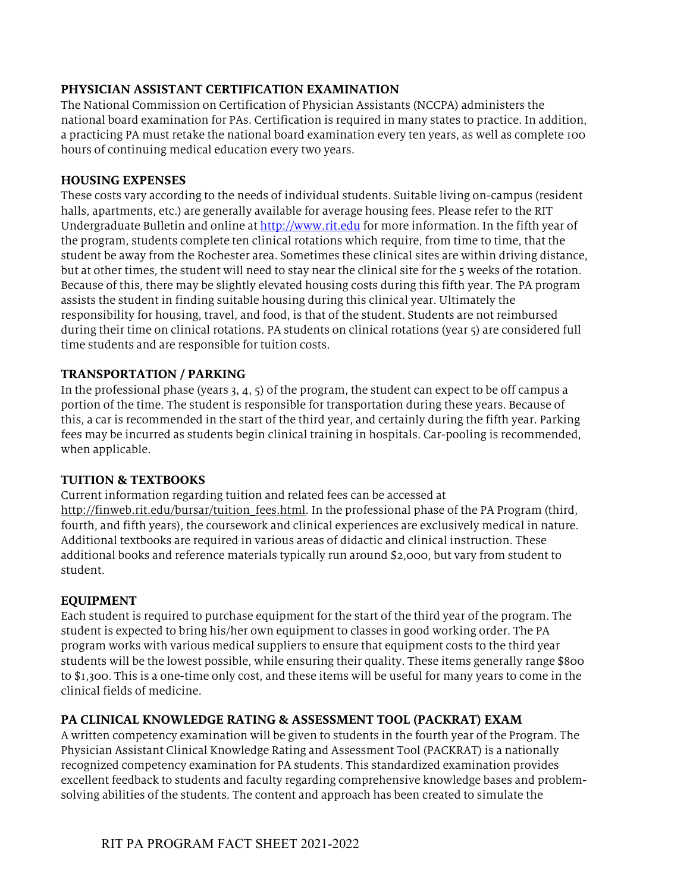#### **PHYSICIAN ASSISTANT CERTIFICATION EXAMINATION**

The National Commission on Certification of Physician Assistants (NCCPA) administers the national board examination for PAs. Certification is required in many states to practice. In addition, a practicing PA must retake the national board examination every ten years, as well as complete 100 hours of continuing medical education every two years.

#### **HOUSING EXPENSES**

These costs vary according to the needs of individual students. Suitable living on-campus (resident halls, apartments, etc.) are generally available for average housing fees. Please refer to the RIT Undergraduate Bulletin and online at http://www.rit.edu for more information. In the fifth year of the program, students complete ten clinical rotations which require, from time to time, that the student be away from the Rochester area. Sometimes these clinical sites are within driving distance, but at other times, the student will need to stay near the clinical site for the 5 weeks of the rotation. Because of this, there may be slightly elevated housing costs during this fifth year. The PA program assists the student in finding suitable housing during this clinical year. Ultimately the responsibility for housing, travel, and food, is that of the student. Students are not reimbursed during their time on clinical rotations. PA students on clinical rotations (year 5) are considered full time students and are responsible for tuition costs.

#### **TRANSPORTATION / PARKING**

In the professional phase (years 3, 4, 5) of the program, the student can expect to be off campus a portion of the time. The student is responsible for transportation during these years. Because of this, a car is recommended in the start of the third year, and certainly during the fifth year. Parking fees may be incurred as students begin clinical training in hospitals. Car-pooling is recommended, when applicable.

#### **TUITION & TEXTBOOKS**

Current information regarding tuition and related fees can be accessed at http://finweb.rit.edu/bursar/tuition fees.html. In the professional phase of the PA Program (third, fourth, and fifth years), the coursework and clinical experiences are exclusively medical in nature. Additional textbooks are required in various areas of didactic and clinical instruction. These additional books and reference materials typically run around \$2,000, but vary from student to student.

#### **EQUIPMENT**

Each student is required to purchase equipment for the start of the third year of the program. The student is expected to bring his/her own equipment to classes in good working order. The PA program works with various medical suppliers to ensure that equipment costs to the third year students will be the lowest possible, while ensuring their quality. These items generally range \$800 to \$1,300. This is a one-time only cost, and these items will be useful for many years to come in the clinical fields of medicine.

#### **PA CLINICAL KNOWLEDGE RATING & ASSESSMENT TOOL (PACKRAT) EXAM**

A written competency examination will be given to students in the fourth year of the Program. The Physician Assistant Clinical Knowledge Rating and Assessment Tool (PACKRAT) is a nationally recognized competency examination for PA students. This standardized examination provides excellent feedback to students and faculty regarding comprehensive knowledge bases and problemsolving abilities of the students. The content and approach has been created to simulate the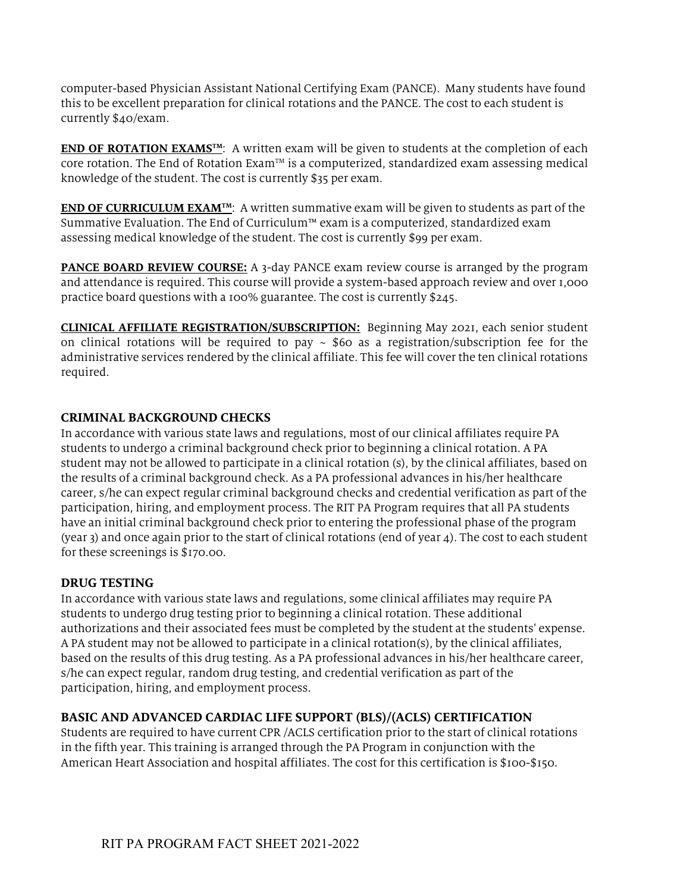computer-based Physician Assistant National Certifying Exam (PANCE). Many students have found this to be excellent preparation for clinical rotations and the PANCE. The cost to each student is currently \$40/exam.

**END OF ROTATION EXAMS<sup>TM</sup>:** A written exam will be given to students at the completion of each core rotation. The End of Rotation Exam™ is a computerized, standardized exam assessing medical knowledge of the student. The cost is currently \$35 per exam.

**END OF CURRICULUM EXAM<sup>TM</sup>:** A written summative exam will be given to students as part of the Summative Evaluation. The End of Curriculum™ exam is a computerized, standardized exam assessing medical knowledge of the student. The cost is currently \$99 per exam.

**PANCE BOARD REVIEW COURSE:** A 3-day PANCE exam review course is arranged by the program and attendance is required. This course will provide a system-based approach review and over 1,000 practice board questions with a 100% guarantee. The cost is currently \$245.

**CLINICAL AFFILIATE REGISTRATION/SUBSCRIPTION:** Beginning May 2021, each senior student on clinical rotations will be required to pay  $\sim$  \$60 as a registration/subscription fee for the administrative services rendered by the clinical affiliate. This fee will cover the ten clinical rotations required.

#### **CRIMINAL BACKGROUND CHECKS**

In accordance with various state laws and regulations, most of our clinical affiliates require PA students to undergo a criminal background check prior to beginning a clinical rotation. A PA student may not be allowed to participate in a clinical rotation (s), by the clinical affiliates, based on the results of a criminal background check. As a PA professional advances in his/her healthcare career, s/he can expect regular criminal background checks and credential verification as part of the participation, hiring, and employment process. The RIT PA Program requires that all PA students have an initial criminal background check prior to entering the professional phase of the program (year 3) and once again prior to the start of clinical rotations (end of year 4). The cost to each student for these screenings is \$170.00.

#### **DRUG TESTING**

In accordance with various state laws and regulations, some clinical affiliates may require PA students to undergo drug testing prior to beginning a clinical rotation. These additional authorizations and their associated fees must be completed by the student at the students' expense. A PA student may not be allowed to participate in a clinical rotation(s), by the clinical affiliates, based on the results of this drug testing. As a PA professional advances in his/her healthcare career, s/he can expect regular, random drug testing, and credential verification as part of the participation, hiring, and employment process.

#### **BASIC AND ADVANCED CARDIAC LIFE SUPPORT (BLS)/(ACLS) CERTIFICATION**

Students are required to have current CPR /ACLS certification prior to the start of clinical rotations in the fifth year. This training is arranged through the PA Program in conjunction with the American Heart Association and hospital affiliates. The cost for this certification is \$100-\$150.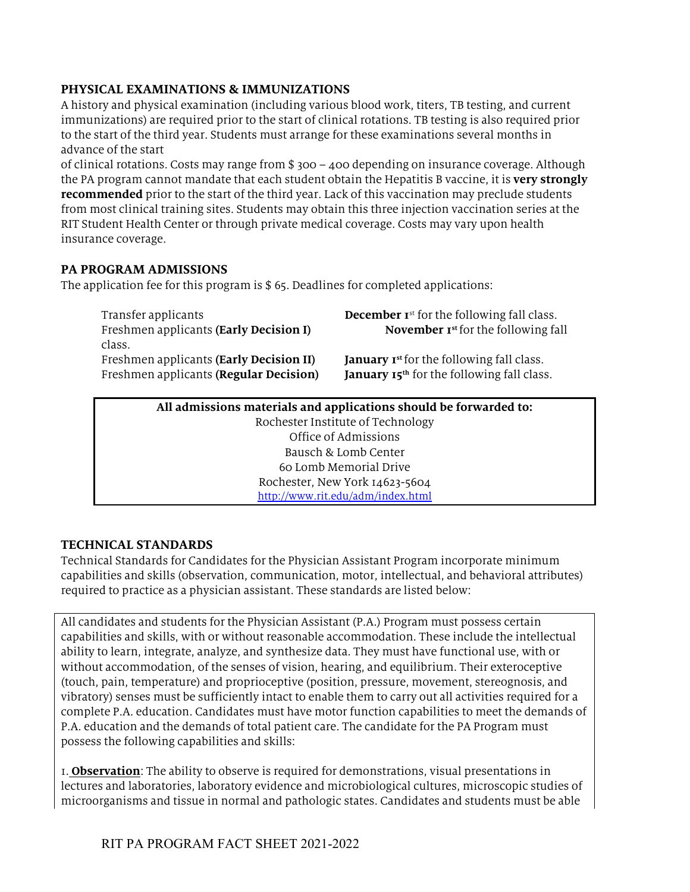# **PHYSICAL EXAMINATIONS & IMMUNIZATIONS**

A history and physical examination (including various blood work, titers, TB testing, and current immunizations) are required prior to the start of clinical rotations. TB testing is also required prior to the start of the third year. Students must arrange for these examinations several months in advance of the start

of clinical rotations. Costs may range from \$ 300 – 400 depending on insurance coverage. Although the PA program cannot mandate that each student obtain the Hepatitis B vaccine, it is **very strongly recommended** prior to the start of the third year. Lack of this vaccination may preclude students from most clinical training sites. Students may obtain this three injection vaccination series at the RIT Student Health Center or through private medical coverage. Costs may vary upon health insurance coverage.

# **PA PROGRAM ADMISSIONS**

The application fee for this program is  $$65$ . Deadlines for completed applications:

| Transfer applicants                     | <b>December Ist for the following fall class.</b>      |
|-----------------------------------------|--------------------------------------------------------|
| Freshmen applicants (Early Decision I)  | <b>November 1st</b> for the following fall             |
| class.                                  |                                                        |
| Freshmen applicants (Early Decision II) | <b>January Ist for the following fall class.</b>       |
| Freshmen applicants (Regular Decision)  | January 15 <sup>th</sup> for the following fall class. |
|                                         |                                                        |

#### **All admissions materials and applications should be forwarded to:**  Rochester Institute of Technology Office of Admissions Bausch & Lomb Center 60 Lomb Memorial Drive Rochester, New York 14623-5604 http://www.rit.edu/adm/index.html

# **TECHNICAL STANDARDS**

Technical Standards for Candidates for the Physician Assistant Program incorporate minimum capabilities and skills (observation, communication, motor, intellectual, and behavioral attributes) required to practice as a physician assistant. These standards are listed below:

All candidates and students for the Physician Assistant (P.A.) Program must possess certain capabilities and skills, with or without reasonable accommodation. These include the intellectual ability to learn, integrate, analyze, and synthesize data. They must have functional use, with or without accommodation, of the senses of vision, hearing, and equilibrium. Their exteroceptive (touch, pain, temperature) and proprioceptive (position, pressure, movement, stereognosis, and vibratory) senses must be sufficiently intact to enable them to carry out all activities required for a complete P.A. education. Candidates must have motor function capabilities to meet the demands of P.A. education and the demands of total patient care. The candidate for the PA Program must possess the following capabilities and skills:

1. **Observation**: The ability to observe is required for demonstrations, visual presentations in lectures and laboratories, laboratory evidence and microbiological cultures, microscopic studies of microorganisms and tissue in normal and pathologic states. Candidates and students must be able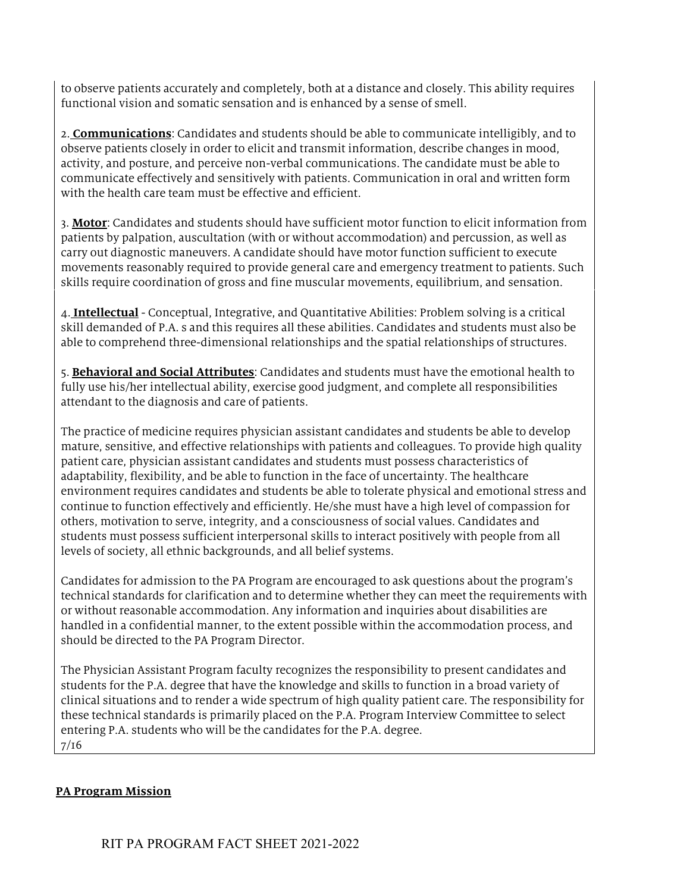to observe patients accurately and completely, both at a distance and closely. This ability requires functional vision and somatic sensation and is enhanced by a sense of smell.

2. **Communications**: Candidates and students should be able to communicate intelligibly, and to observe patients closely in order to elicit and transmit information, describe changes in mood, activity, and posture, and perceive non-verbal communications. The candidate must be able to communicate effectively and sensitively with patients. Communication in oral and written form with the health care team must be effective and efficient.

3. **Motor**: Candidates and students should have sufficient motor function to elicit information from patients by palpation, auscultation (with or without accommodation) and percussion, as well as carry out diagnostic maneuvers. A candidate should have motor function sufficient to execute movements reasonably required to provide general care and emergency treatment to patients. Such skills require coordination of gross and fine muscular movements, equilibrium, and sensation.

4. **Intellectual** - Conceptual, Integrative, and Quantitative Abilities: Problem solving is a critical skill demanded of P.A. s and this requires all these abilities. Candidates and students must also be able to comprehend three-dimensional relationships and the spatial relationships of structures.

5. **Behavioral and Social Attributes**: Candidates and students must have the emotional health to fully use his/her intellectual ability, exercise good judgment, and complete all responsibilities attendant to the diagnosis and care of patients.

The practice of medicine requires physician assistant candidates and students be able to develop mature, sensitive, and effective relationships with patients and colleagues. To provide high quality patient care, physician assistant candidates and students must possess characteristics of adaptability, flexibility, and be able to function in the face of uncertainty. The healthcare environment requires candidates and students be able to tolerate physical and emotional stress and continue to function effectively and efficiently. He/she must have a high level of compassion for others, motivation to serve, integrity, and a consciousness of social values. Candidates and students must possess sufficient interpersonal skills to interact positively with people from all levels of society, all ethnic backgrounds, and all belief systems.

Candidates for admission to the PA Program are encouraged to ask questions about the program's technical standards for clarification and to determine whether they can meet the requirements with or without reasonable accommodation. Any information and inquiries about disabilities are handled in a confidential manner, to the extent possible within the accommodation process, and should be directed to the PA Program Director.

The Physician Assistant Program faculty recognizes the responsibility to present candidates and students for the P.A. degree that have the knowledge and skills to function in a broad variety of clinical situations and to render a wide spectrum of high quality patient care. The responsibility for these technical standards is primarily placed on the P.A. Program Interview Committee to select entering P.A. students who will be the candidates for the P.A. degree. 7/16

# **PA Program Mission**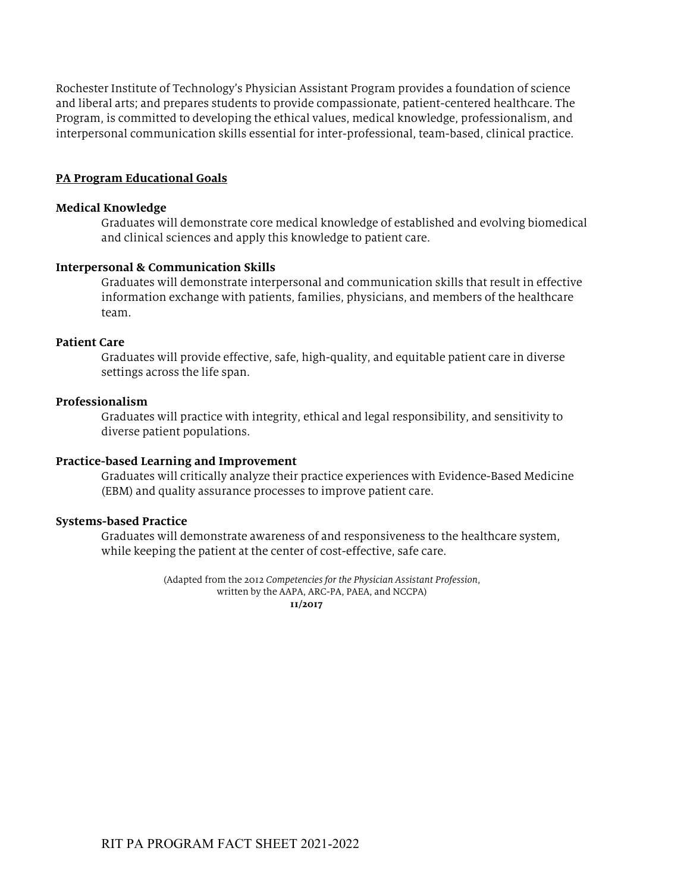Rochester Institute of Technology's Physician Assistant Program provides a foundation of science and liberal arts; and prepares students to provide compassionate, patient-centered healthcare. The Program, is committed to developing the ethical values, medical knowledge, professionalism, and interpersonal communication skills essential for inter-professional, team-based, clinical practice.

#### **PA Program Educational Goals**

#### **Medical Knowledge**

Graduates will demonstrate core medical knowledge of established and evolving biomedical and clinical sciences and apply this knowledge to patient care.

#### **Interpersonal & Communication Skills**

Graduates will demonstrate interpersonal and communication skills that result in effective information exchange with patients, families, physicians, and members of the healthcare team.

#### **Patient Care**

Graduates will provide effective, safe, high-quality, and equitable patient care in diverse settings across the life span.

#### **Professionalism**

Graduates will practice with integrity, ethical and legal responsibility, and sensitivity to diverse patient populations.

#### **Practice-based Learning and Improvement**

Graduates will critically analyze their practice experiences with Evidence-Based Medicine (EBM) and quality assurance processes to improve patient care.

#### **Systems-based Practice**

Graduates will demonstrate awareness of and responsiveness to the healthcare system, while keeping the patient at the center of cost-effective, safe care.

> (Adapted from the 2012 *Competencies for the Physician Assistant Profession*, written by the AAPA, ARC-PA, PAEA, and NCCPA)  **11/2017**